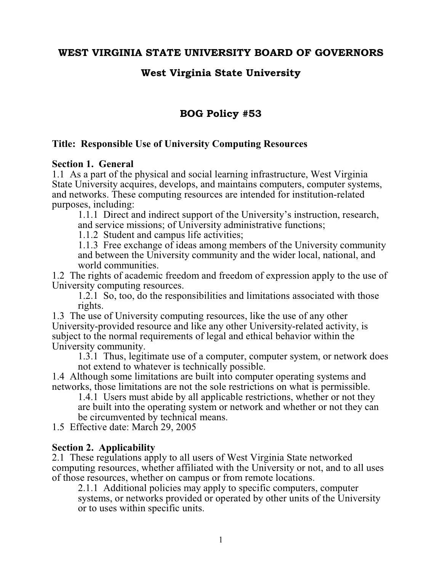## WEST VIRGINIA STATE UNIVERSITY BOARD OF GOVERNORS

## West Virginia State University

# BOG Policy #53

### **Title: Responsible Use of University Computing Resources**

#### **Section 1. General**

1.1 As a part of the physical and social learning infrastructure, West Virginia State University acquires, develops, and maintains computers, computer systems, and networks. These computing resources are intended for institution-related purposes, including:

1.1.1 Direct and indirect support of the University's instruction, research, and service missions; of University administrative functions;

1.1.2 Student and campus life activities;

1.1.3 Free exchange of ideas among members of the University community and between the University community and the wider local, national, and world communities.

1.2 The rights of academic freedom and freedom of expression apply to the use of University computing resources.

1.2.1 So, too, do the responsibilities and limitations associated with those rights.

1.3 The use of University computing resources, like the use of any other University-provided resource and like any other University-related activity, is subject to the normal requirements of legal and ethical behavior within the University community.

1.3.1 Thus, legitimate use of a computer, computer system, or network does not extend to whatever is technically possible.

1.4 Although some limitations are built into computer operating systems and networks, those limitations are not the sole restrictions on what is permissible.

1.4.1 Users must abide by all applicable restrictions, whether or not they are built into the operating system or network and whether or not they can be circumvented by technical means.

1.5 Effective date: March 29, 2005

#### **Section 2. Applicability**

2.1 These regulations apply to all users of West Virginia State networked computing resources, whether affiliated with the University or not, and to all uses of those resources, whether on campus or from remote locations.

2.1.1 Additional policies may apply to specific computers, computer systems, or networks provided or operated by other units of the University or to uses within specific units.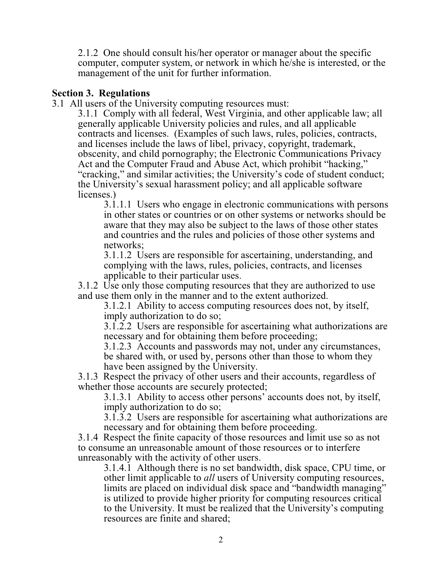2.1.2 One should consult his/her operator or manager about the specific computer, computer system, or network in which he/she is interested, or the management of the unit for further information.

#### **Section 3. Regulations**

3.1 All users of the University computing resources must:

3.1.1 Comply with all federal, West Virginia, and other applicable law; all generally applicable University policies and rules, and all applicable contracts and licenses. (Examples of such laws, rules, policies, contracts, and licenses include the laws of libel, privacy, copyright, trademark, obscenity, and child pornography; the Electronic Communications Privacy Act and the Computer Fraud and Abuse Act, which prohibit "hacking," "cracking," and similar activities; the University's code of student conduct; the University's sexual harassment policy; and all applicable software licenses.)

3.1.1.1 Users who engage in electronic communications with persons in other states or countries or on other systems or networks should be aware that they may also be subject to the laws of those other states and countries and the rules and policies of those other systems and networks;

3.1.1.2 Users are responsible for ascertaining, understanding, and complying with the laws, rules, policies, contracts, and licenses applicable to their particular uses.

3.1.2 Use only those computing resources that they are authorized to use and use them only in the manner and to the extent authorized.

3.1.2.1 Ability to access computing resources does not, by itself, imply authorization to do so;

3.1.2.2 Users are responsible for ascertaining what authorizations are necessary and for obtaining them before proceeding;

3.1.2.3 Accounts and passwords may not, under any circumstances, be shared with, or used by, persons other than those to whom they have been assigned by the University.

3.1.3 Respect the privacy of other users and their accounts, regardless of whether those accounts are securely protected;

3.1.3.1 Ability to access other persons' accounts does not, by itself, imply authorization to do so;

3.1.3.2 Users are responsible for ascertaining what authorizations are necessary and for obtaining them before proceeding.

3.1.4 Respect the finite capacity of those resources and limit use so as not to consume an unreasonable amount of those resources or to interfere unreasonably with the activity of other users.

3.1.4.1 Although there is no set bandwidth, disk space, CPU time, or other limit applicable to *all* users of University computing resources, limits are placed on individual disk space and "bandwidth managing" is utilized to provide higher priority for computing resources critical to the University. It must be realized that the University's computing resources are finite and shared;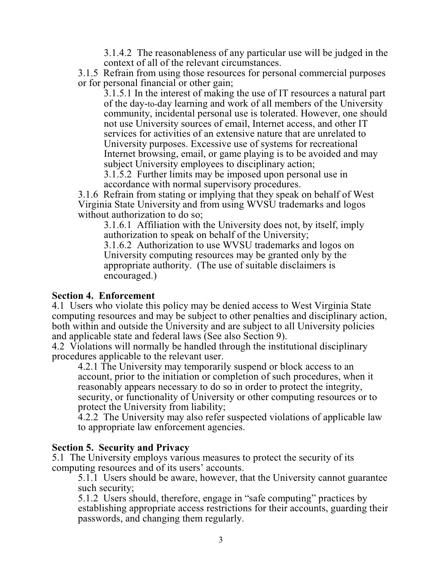3.1.4.2 The reasonableness of any particular use will be judged in the context of all of the relevant circumstances.

3.1.5 Refrain from using those resources for personal commercial purposes or for personal financial or other gain;

3.1.5.1 In the interest of making the use of IT resources a natural part of the day-to-day learning and work of all members of the University community, incidental personal use is tolerated. However, one should not use University sources of email, Internet access, and other IT services for activities of an extensive nature that are unrelated to University purposes. Excessive use of systems for recreational Internet browsing, email, or game playing is to be avoided and may subject University employees to disciplinary action;

3.1.5.2 Further limits may be imposed upon personal use in accordance with normal supervisory procedures.

3.1.6 Refrain from stating or implying that they speak on behalf of West Virginia State University and from using WVSU trademarks and logos without authorization to do so;

3.1.6.1 Affiliation with the University does not, by itself, imply authorization to speak on behalf of the University;

3.1.6.2 Authorization to use WVSU trademarks and logos on University computing resources may be granted only by the appropriate authority. (The use of suitable disclaimers is encouraged.)

#### **Section 4. Enforcement**

4.1 Users who violate this policy may be denied access to West Virginia State computing resources and may be subject to other penalties and disciplinary action, both within and outside the University and are subject to all University policies and applicable state and federal laws (See also Section 9).

4.2 Violations will normally be handled through the institutional disciplinary procedures applicable to the relevant user.

4.2.1 The University may temporarily suspend or block access to an account, prior to the initiation or completion of such procedures, when it reasonably appears necessary to do so in order to protect the integrity, security, or functionality of University or other computing resources or to protect the University from liability;

4.2.2 The University may also refer suspected violations of applicable law to appropriate law enforcement agencies.

#### **Section 5. Security and Privacy**

5.1 The University employs various measures to protect the security of its computing resources and of its users' accounts.

5.1.1 Users should be aware, however, that the University cannot guarantee such security;

5.1.2 Users should, therefore, engage in "safe computing" practices by establishing appropriate access restrictions for their accounts, guarding their passwords, and changing them regularly.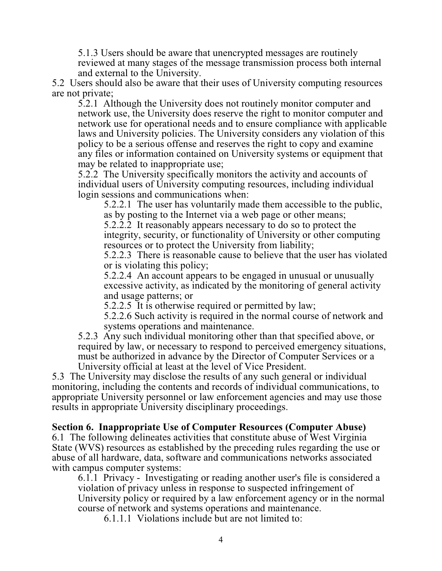5.1.3 Users should be aware that unencrypted messages are routinely reviewed at many stages of the message transmission process both internal and external to the University.

5.2 Users should also be aware that their uses of University computing resources are not private;

5.2.1 Although the University does not routinely monitor computer and network use, the University does reserve the right to monitor computer and network use for operational needs and to ensure compliance with applicable laws and University policies. The University considers any violation of this policy to be a serious offense and reserves the right to copy and examine any files or information contained on University systems or equipment that may be related to inappropriate use;

5.2.2 The University specifically monitors the activity and accounts of individual users of University computing resources, including individual login sessions and communications when:

5.2.2.1 The user has voluntarily made them accessible to the public, as by posting to the Internet via a web page or other means;

5.2.2.2 It reasonably appears necessary to do so to protect the integrity, security, or functionality of University or other computing resources or to protect the University from liability;

5.2.2.3 There is reasonable cause to believe that the user has violated or is violating this policy;

5.2.2.4 An account appears to be engaged in unusual or unusually excessive activity, as indicated by the monitoring of general activity and usage patterns; or

5.2.2.5 It is otherwise required or permitted by law;

5.2.2.6 Such activity is required in the normal course of network and systems operations and maintenance.

5.2.3 Any such individual monitoring other than that specified above, or required by law, or necessary to respond to perceived emergency situations, must be authorized in advance by the Director of Computer Services or a University official at least at the level of Vice President.

5.3 The University may disclose the results of any such general or individual monitoring, including the contents and records of individual communications, to appropriate University personnel or law enforcement agencies and may use those results in appropriate University disciplinary proceedings.

## **Section 6. Inappropriate Use of Computer Resources (Computer Abuse)**

6.1 The following delineates activities that constitute abuse of West Virginia State (WVS) resources as established by the preceding rules regarding the use or abuse of all hardware, data, software and communications networks associated with campus computer systems:

6.1.1 Privacy - Investigating or reading another user's file is considered a violation of privacy unless in response to suspected infringement of University policy or required by a law enforcement agency or in the normal course of network and systems operations and maintenance.

6.1.1.1 Violations include but are not limited to: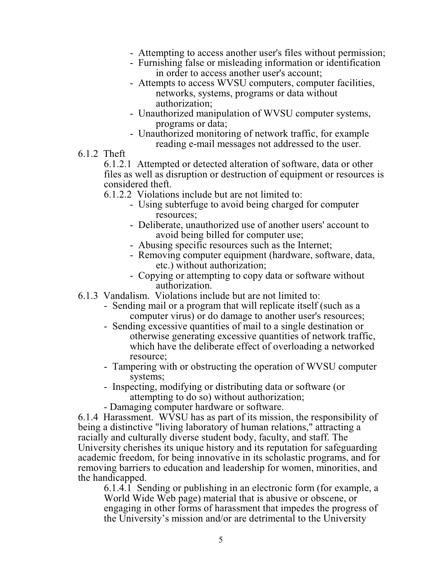- Attempting to access another user's files without permission;
- Furnishing false or misleading information or identification in order to access another user's account;
- Attempts to access WVSU computers, computer facilities, networks, systems, programs or data without authorization;
- Unauthorized manipulation of WVSU computer systems, programs or data;
- Unauthorized monitoring of network traffic, for example reading e-mail messages not addressed to the user.
- 6.1.2 Theft

6.1.2.1 Attempted or detected alteration of software, data or other files as well as disruption or destruction of equipment or resources is considered theft.

6.1.2.2 Violations include but are not limited to:

- Using subterfuge to avoid being charged for computer resources;
- Deliberate, unauthorized use of another users' account to avoid being billed for computer use;
- Abusing specific resources such as the Internet;
- Removing computer equipment (hardware, software, data, etc.) without authorization;
- Copying or attempting to copy data or software without authorization.
- 6.1.3 Vandalism. Violations include but are not limited to:
	- Sending mail or a program that will replicate itself (such as a computer virus) or do damage to another user's resources;
	- Sending excessive quantities of mail to a single destination or otherwise generating excessive quantities of network traffic, which have the deliberate effect of overloading a networked resource;
	- Tampering with or obstructing the operation of WVSU computer systems;
	- Inspecting, modifying or distributing data or software (or attempting to do so) without authorization;
	- Damaging computer hardware or software.

6.1.4 Harassment. WVSU has as part of its mission, the responsibility of being a distinctive "living laboratory of human relations," attracting a racially and culturally diverse student body, faculty, and staff. The University cherishes its unique history and its reputation for safeguarding academic freedom, for being innovative in its scholastic programs, and for removing barriers to education and leadership for women, minorities, and the handicapped.

6.1.4.1 Sending or publishing in an electronic form (for example, a World Wide Web page) material that is abusive or obscene, or engaging in other forms of harassment that impedes the progress of the University's mission and/or are detrimental to the University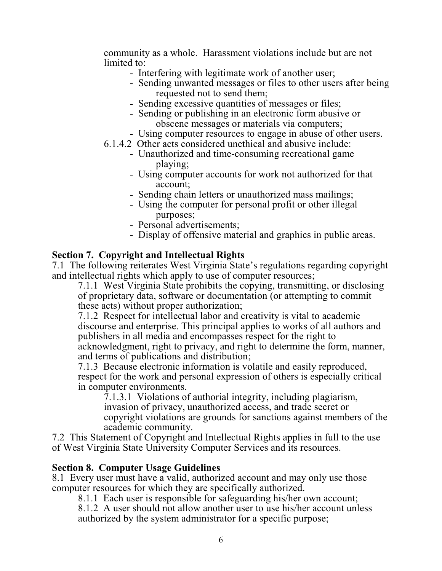community as a whole. Harassment violations include but are not limited to:

- Interfering with legitimate work of another user;
- Sending unwanted messages or files to other users after being requested not to send them;
- Sending excessive quantities of messages or files;
- Sending or publishing in an electronic form abusive or obscene messages or materials via computers;
- Using computer resources to engage in abuse of other users.
- 6.1.4.2 Other acts considered unethical and abusive include:
	- Unauthorized and time-consuming recreational game playing;
	- Using computer accounts for work not authorized for that account;
	- Sending chain letters or unauthorized mass mailings;
	- Using the computer for personal profit or other illegal purposes;
	- Personal advertisements;
	- Display of offensive material and graphics in public areas.

## **Section 7. Copyright and Intellectual Rights**

7.1 The following reiterates West Virginia State's regulations regarding copyright and intellectual rights which apply to use of computer resources;

7.1.1 West Virginia State prohibits the copying, transmitting, or disclosing of proprietary data, software or documentation (or attempting to commit these acts) without proper authorization;

7.1.2 Respect for intellectual labor and creativity is vital to academic discourse and enterprise. This principal applies to works of all authors and publishers in all media and encompasses respect for the right to acknowledgment, right to privacy, and right to determine the form, manner, and terms of publications and distribution;

7.1.3 Because electronic information is volatile and easily reproduced, respect for the work and personal expression of others is especially critical in computer environments.

7.1.3.1 Violations of authorial integrity, including plagiarism, invasion of privacy, unauthorized access, and trade secret or copyright violations are grounds for sanctions against members of the academic community.

7.2 This Statement of Copyright and Intellectual Rights applies in full to the use of West Virginia State University Computer Services and its resources.

#### **Section 8. Computer Usage Guidelines**

8.1 Every user must have a valid, authorized account and may only use those computer resources for which they are specifically authorized.

8.1.1 Each user is responsible for safeguarding his/her own account;

8.1.2 A user should not allow another user to use his/her account unless authorized by the system administrator for a specific purpose;